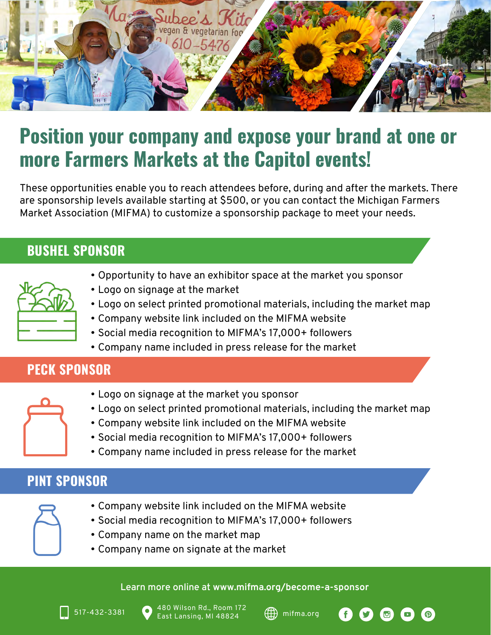

# **Position your company and expose your brand at one or more Farmers Markets at the Capitol events!**

These opportunities enable you to reach attendees before, during and after the markets. There are sponsorship levels available starting at \$500, or you can contact the Michigan Farmers Market Association (MIFMA) to customize a sponsorship package to meet your needs.

### **BUSHEL SPONSOR**

- Opportunity to have an exhibitor space at the market you sponsor
- Logo on signage at the market
- Logo on select printed promotional materials, including the market map
- Company website link included on the MIFMA website
- Social media recognition to MIFMA's 17,000+ followers
- Company name included in press release for the market

## **PECK SPONSOR**

- Logo on signage at the market you sponsor
- Logo on select printed promotional materials, including the market map
- Company website link included on the MIFMA website
- Social media recognition to MIFMA's 17,000+ followers
- Company name included in press release for the market

## **PINT SPONSOR**

- Company website link included on the MIFMA website
- Social media recognition to MIFMA's 17,000+ followers
- Company name on the market map
- Company name on signate at the market

#### **Learn more online at www.mifma.org/become-a-sponsor**





ൈ